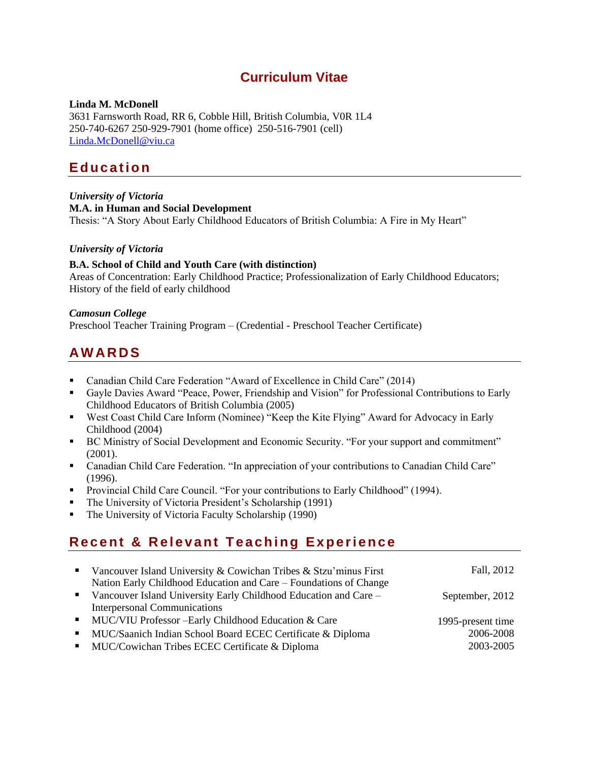## **Curriculum Vitae**

## **Linda M. McDonell**

3631 Farnsworth Road, RR 6, Cobble Hill, British Columbia, V0R 1L4 250-740-6267 250-929-7901 (home office) 250-516-7901 (cell) [Linda.McDonell@viu.ca](mailto:Linda.McDonell@viu.ca)

# **E d u c a t i o n**

#### *University of Victoria* **M.A. in Human and Social Development** Thesis: "A Story About Early Childhood Educators of British Columbia: A Fire in My Heart"

## *University of Victoria*

## **B.A. School of Child and Youth Care (with distinction)**

Areas of Concentration: Early Childhood Practice; Professionalization of Early Childhood Educators; History of the field of early childhood

## *Camosun College*

Preschool Teacher Training Program – (Credential - Preschool Teacher Certificate)

# **A W A R D S**

- Canadian Child Care Federation "Award of Excellence in Child Care" (2014)
- Gayle Davies Award "Peace, Power, Friendship and Vision" for Professional Contributions to Early Childhood Educators of British Columbia (2005)
- West Coast Child Care Inform (Nominee) "Keep the Kite Flying" Award for Advocacy in Early Childhood (2004)
- BC Ministry of Social Development and Economic Security. "For your support and commitment" (2001).
- Canadian Child Care Federation. "In appreciation of your contributions to Canadian Child Care" (1996).
- Provincial Child Care Council. "For your contributions to Early Childhood" (1994).
- The University of Victoria President's Scholarship (1991)
- The University of Victoria Faculty Scholarship (1990)

# **Recent & Relevant Teaching Experience**

|                | • Vancouver Island University & Cowichan Tribes & Stzu'minus First | Fall, 2012        |
|----------------|--------------------------------------------------------------------|-------------------|
|                | Nation Early Childhood Education and Care - Foundations of Change  |                   |
|                | • Vancouver Island University Early Childhood Education and Care - | September, 2012   |
|                | <b>Interpersonal Communications</b>                                |                   |
|                | • MUC/VIU Professor – Early Childhood Education & Care             | 1995-present time |
| $\mathbf{H}$ . | MUC/Saanich Indian School Board ECEC Certificate & Diploma         | 2006-2008         |
|                | • MUC/Cowichan Tribes ECEC Certificate & Diploma                   | 2003-2005         |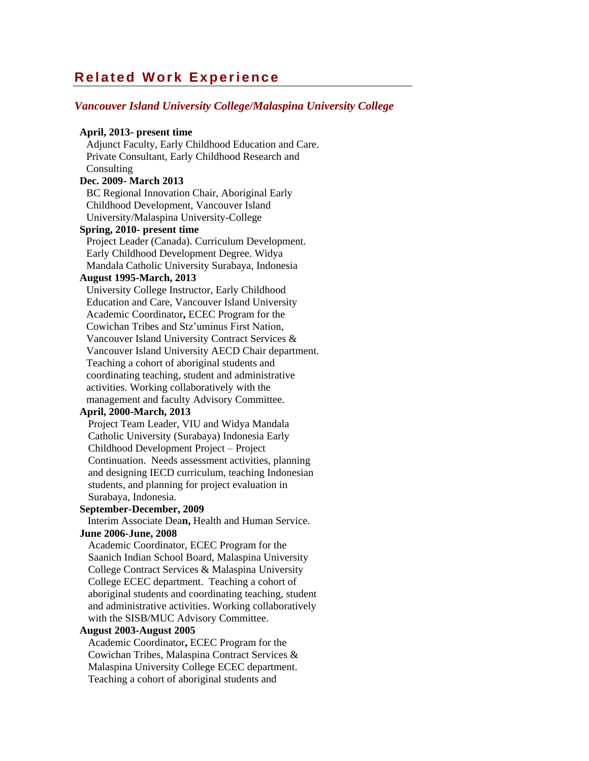## **Related Work Experience**

### *Vancouver Island University College/Malaspina University College*

#### **April, 2013- present time**

Adjunct Faculty, Early Childhood Education and Care. Private Consultant, Early Childhood Research and **Consulting** 

## **Dec. 2009- March 2013**

BC Regional Innovation Chair, Aboriginal Early Childhood Development, Vancouver Island University/Malaspina University-College

### **Spring, 2010- present time**

Project Leader (Canada). Curriculum Development. Early Childhood Development Degree. Widya Mandala Catholic University Surabaya, Indonesia

#### **August 1995-March, 2013**

University College Instructor, Early Childhood Education and Care, Vancouver Island University Academic Coordinator**,** ECEC Program for the Cowichan Tribes and Stz'uminus First Nation, Vancouver Island University Contract Services & Vancouver Island University AECD Chair department. Teaching a cohort of aboriginal students and coordinating teaching, student and administrative activities. Working collaboratively with the management and faculty Advisory Committee.

## **April, 2000-March, 2013**

Project Team Leader, VIU and Widya Mandala Catholic University (Surabaya) Indonesia Early Childhood Development Project – Project Continuation. Needs assessment activities, planning and designing IECD curriculum, teaching Indonesian students, and planning for project evaluation in Surabaya, Indonesia.

#### **September-December, 2009**

 Interim Associate Dea**n,** Health and Human Service. **June 2006-June, 2008**

## Academic Coordinator, ECEC Program for the Saanich Indian School Board, Malaspina University College Contract Services & Malaspina University College ECEC department. Teaching a cohort of aboriginal students and coordinating teaching, student and administrative activities. Working collaboratively with the SISB/MUC Advisory Committee.

#### **August 2003-August 2005**

Academic Coordinator**,** ECEC Program for the Cowichan Tribes, Malaspina Contract Services & Malaspina University College ECEC department. Teaching a cohort of aboriginal students and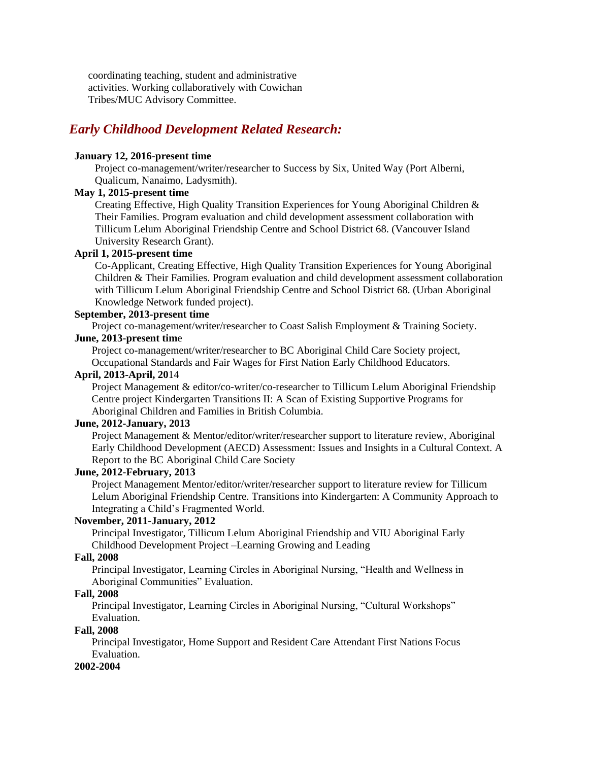coordinating teaching, student and administrative activities. Working collaboratively with Cowichan Tribes/MUC Advisory Committee.

## *Early Childhood Development Related Research:*

### **January 12, 2016-present time**

Project co-management/writer/researcher to Success by Six, United Way (Port Alberni, Qualicum, Nanaimo, Ladysmith).

## **May 1, 2015-present time**

Creating Effective, High Quality Transition Experiences for Young Aboriginal Children & Their Families. Program evaluation and child development assessment collaboration with Tillicum Lelum Aboriginal Friendship Centre and School District 68. (Vancouver Island University Research Grant).

## **April 1, 2015-present time**

Co-Applicant, Creating Effective, High Quality Transition Experiences for Young Aboriginal Children & Their Families. Program evaluation and child development assessment collaboration with Tillicum Lelum Aboriginal Friendship Centre and School District 68. (Urban Aboriginal Knowledge Network funded project).

## **September, 2013-present time**

Project co-management/writer/researcher to Coast Salish Employment & Training Society.

## **June, 2013-present tim**e

Project co-management/writer/researcher to BC Aboriginal Child Care Society project, Occupational Standards and Fair Wages for First Nation Early Childhood Educators.

## **April, 2013-April, 20**14

Project Management & editor/co-writer/co-researcher to Tillicum Lelum Aboriginal Friendship Centre project Kindergarten Transitions II: A Scan of Existing Supportive Programs for Aboriginal Children and Families in British Columbia.

## **June, 2012-January, 2013**

Project Management & Mentor/editor/writer/researcher support to literature review, Aboriginal Early Childhood Development (AECD) Assessment: Issues and Insights in a Cultural Context. A Report to the BC Aboriginal Child Care Society

## **June, 2012-February, 2013**

Project Management Mentor/editor/writer/researcher support to literature review for Tillicum Lelum Aboriginal Friendship Centre. Transitions into Kindergarten: A Community Approach to Integrating a Child's Fragmented World.

### **November, 2011-January, 2012**

Principal Investigator, Tillicum Lelum Aboriginal Friendship and VIU Aboriginal Early Childhood Development Project –Learning Growing and Leading

#### **Fall, 2008**

Principal Investigator, Learning Circles in Aboriginal Nursing, "Health and Wellness in Aboriginal Communities" Evaluation.

#### **Fall, 2008**

Principal Investigator, Learning Circles in Aboriginal Nursing, "Cultural Workshops" Evaluation.

### **Fall, 2008**

Principal Investigator, Home Support and Resident Care Attendant First Nations Focus Evaluation.

#### **2002-2004**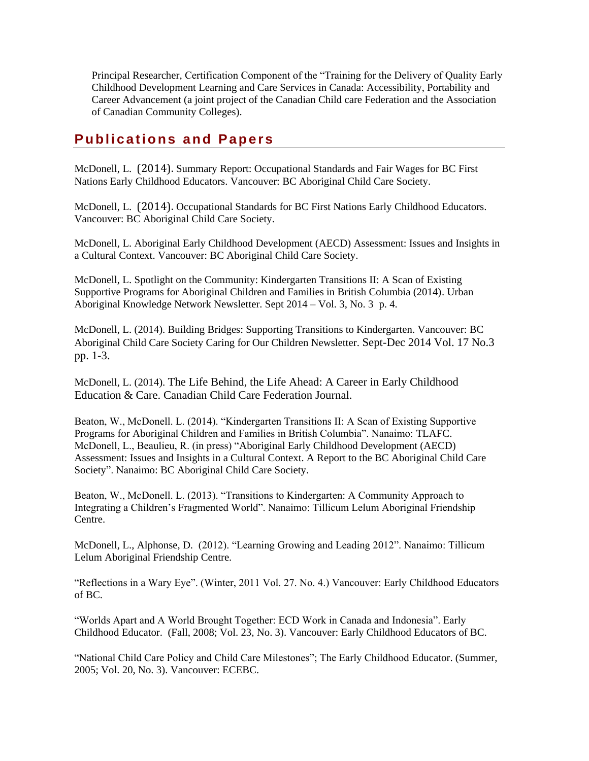Principal Researcher, Certification Component of the "Training for the Delivery of Quality Early Childhood Development Learning and Care Services in Canada: Accessibility, Portability and Career Advancement (a joint project of the Canadian Child care Federation and the Association of Canadian Community Colleges).

# **Publications and Papers**

McDonell, L. (2014). Summary Report: Occupational Standards and Fair Wages for BC First Nations Early Childhood Educators. Vancouver: BC Aboriginal Child Care Society.

McDonell, L. (2014). Occupational Standards for BC First Nations Early Childhood Educators. Vancouver: BC Aboriginal Child Care Society.

McDonell, L. Aboriginal Early Childhood Development (AECD) Assessment: Issues and Insights in a Cultural Context. Vancouver: BC Aboriginal Child Care Society.

McDonell, L. Spotlight on the Community: Kindergarten Transitions II: A Scan of Existing Supportive Programs for Aboriginal Children and Families in British Columbia (2014). Urban Aboriginal Knowledge Network Newsletter. Sept 2014 – Vol. 3, No. 3 p. 4.

McDonell, L. (2014). Building Bridges: Supporting Transitions to Kindergarten. Vancouver: BC Aboriginal Child Care Society Caring for Our Children Newsletter. Sept-Dec 2014 Vol. 17 No.3 pp. 1-3.

McDonell, L. (2014). The Life Behind, the Life Ahead: A Career in Early Childhood Education & Care. Canadian Child Care Federation Journal.

Beaton, W., McDonell. L. (2014). "Kindergarten Transitions II: A Scan of Existing Supportive Programs for Aboriginal Children and Families in British Columbia". Nanaimo: TLAFC. McDonell, L., Beaulieu, R. (in press) "Aboriginal Early Childhood Development (AECD) Assessment: Issues and Insights in a Cultural Context. A Report to the BC Aboriginal Child Care Society". Nanaimo: BC Aboriginal Child Care Society.

Beaton, W., McDonell. L. (2013). "Transitions to Kindergarten: A Community Approach to Integrating a Children's Fragmented World". Nanaimo: Tillicum Lelum Aboriginal Friendship Centre.

McDonell, L., Alphonse, D. (2012). "Learning Growing and Leading 2012". Nanaimo: Tillicum Lelum Aboriginal Friendship Centre.

"Reflections in a Wary Eye". (Winter, 2011 Vol. 27. No. 4.) Vancouver: Early Childhood Educators of BC.

"Worlds Apart and A World Brought Together: ECD Work in Canada and Indonesia". Early Childhood Educator. (Fall, 2008; Vol. 23, No. 3). Vancouver: Early Childhood Educators of BC.

"National Child Care Policy and Child Care Milestones"; The Early Childhood Educator. (Summer, 2005; Vol. 20, No. 3). Vancouver: ECEBC.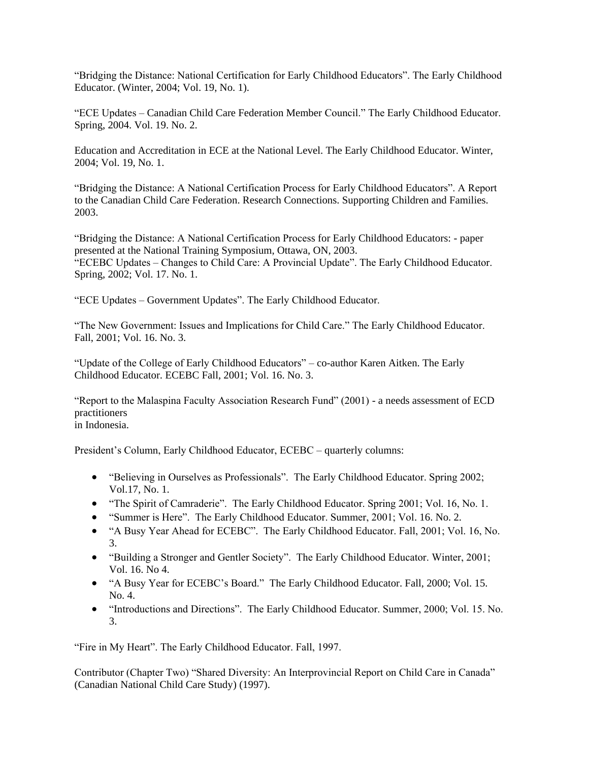"Bridging the Distance: National Certification for Early Childhood Educators". The Early Childhood Educator. (Winter, 2004; Vol. 19, No. 1).

"ECE Updates – Canadian Child Care Federation Member Council." The Early Childhood Educator. Spring, 2004. Vol. 19. No. 2.

Education and Accreditation in ECE at the National Level. The Early Childhood Educator. Winter, 2004; Vol. 19, No. 1.

"Bridging the Distance: A National Certification Process for Early Childhood Educators". A Report to the Canadian Child Care Federation. Research Connections. Supporting Children and Families. 2003.

"Bridging the Distance: A National Certification Process for Early Childhood Educators: - paper presented at the National Training Symposium, Ottawa, ON, 2003. "ECEBC Updates – Changes to Child Care: A Provincial Update". The Early Childhood Educator.

"ECE Updates – Government Updates". The Early Childhood Educator.

Spring, 2002; Vol. 17. No. 1.

"The New Government: Issues and Implications for Child Care." The Early Childhood Educator. Fall, 2001; Vol. 16. No. 3.

"Update of the College of Early Childhood Educators" – co-author Karen Aitken. The Early Childhood Educator. ECEBC Fall, 2001; Vol. 16. No. 3.

"Report to the Malaspina Faculty Association Research Fund" (2001) - a needs assessment of ECD practitioners in Indonesia.

President's Column, Early Childhood Educator, ECEBC – quarterly columns:

- "Believing in Ourselves as Professionals". The Early Childhood Educator. Spring 2002; Vol.17, No. 1.
- "The Spirit of Camraderie". The Early Childhood Educator. Spring 2001; Vol. 16, No. 1.
- "Summer is Here". The Early Childhood Educator. Summer, 2001; Vol. 16. No. 2.
- "A Busy Year Ahead for ECEBC". The Early Childhood Educator. Fall, 2001; Vol. 16, No. 3.
- "Building a Stronger and Gentler Society". The Early Childhood Educator. Winter, 2001; Vol. 16. No 4.
- "A Busy Year for ECEBC's Board." The Early Childhood Educator. Fall, 2000; Vol. 15. No. 4.
- "Introductions and Directions". The Early Childhood Educator. Summer, 2000; Vol. 15. No. 3.

"Fire in My Heart". The Early Childhood Educator. Fall, 1997.

Contributor (Chapter Two) "Shared Diversity: An Interprovincial Report on Child Care in Canada" (Canadian National Child Care Study) (1997).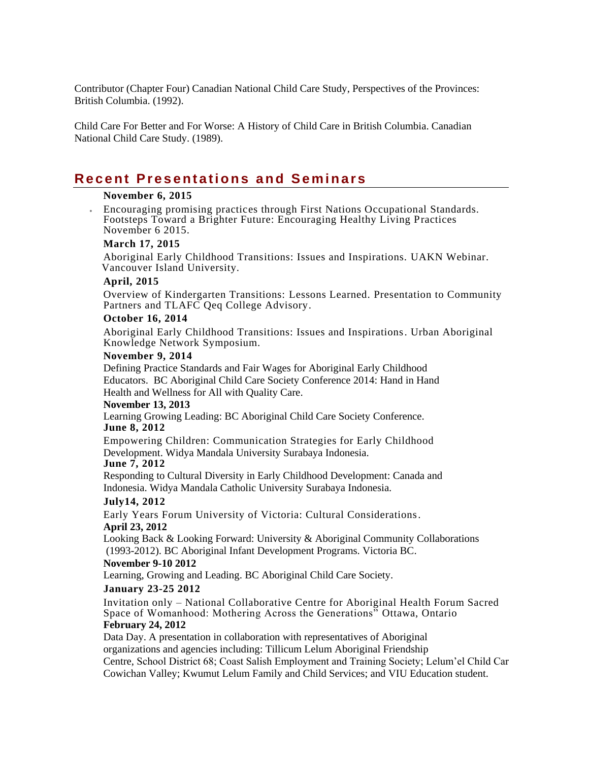Contributor (Chapter Four) Canadian National Child Care Study, Perspectives of the Provinces: British Columbia. (1992).

Child Care For Better and For Worse: A History of Child Care in British Columbia. Canadian National Child Care Study. (1989).

## **Recent Presentations and Seminars**

## **November 6, 2015**

 Encouraging promising practices through First Nations Occupational Standards. Footsteps Toward a Brighter Future: Encouraging Healthy Living Practices November 6 2015.

### **March 17, 2015**

Aboriginal Early Childhood Transitions: Issues and Inspirations. UAKN Webinar. Vancouver Island University.

### **April, 2015**

Overview of Kindergarten Transitions: Lessons Learned. Presentation to Community Partners and TLAFC Qeq College Advisory.

## **October 16, 2014**

Aboriginal Early Childhood Transitions: Issues and Inspirations. Urban Aboriginal Knowledge Network Symposium.

#### **November 9, 2014**

Defining Practice Standards and Fair Wages for Aboriginal Early Childhood Educators. BC Aboriginal Child Care Society Conference 2014: Hand in Hand Health and Wellness for All with Quality Care.

#### **November 13, 2013**

Learning Growing Leading: BC Aboriginal Child Care Society Conference.

## **June 8, 2012**

Empowering Children: Communication Strategies for Early Childhood Development. Widya Mandala University Surabaya Indonesia.

#### **June 7, 2012**

Responding to Cultural Diversity in Early Childhood Development: Canada and Indonesia. Widya Mandala Catholic University Surabaya Indonesia.

#### **July14, 2012**

Early Years Forum University of Victoria: Cultural Considerations. **April 23, 2012**

Looking Back & Looking Forward: University & Aboriginal Community Collaborations (1993-2012). BC Aboriginal Infant Development Programs. Victoria BC.

#### **November 9-10 2012**

Learning, Growing and Leading. BC Aboriginal Child Care Society.

#### **January 23-25 2012**

Invitation only – National Collaborative Centre for Aboriginal Health Forum Sacred Space of Womanhood: Mothering Across the Generations" Ottawa, Ontario **February 24, 2012**

Data Day. A presentation in collaboration with representatives of Aboriginal organizations and agencies including: Tillicum Lelum Aboriginal Friendship Centre, School District 68; Coast Salish Employment and Training Society; Lelum'el Child Care, Cowichan Valley; Kwumut Lelum Family and Child Services; and VIU Education student.